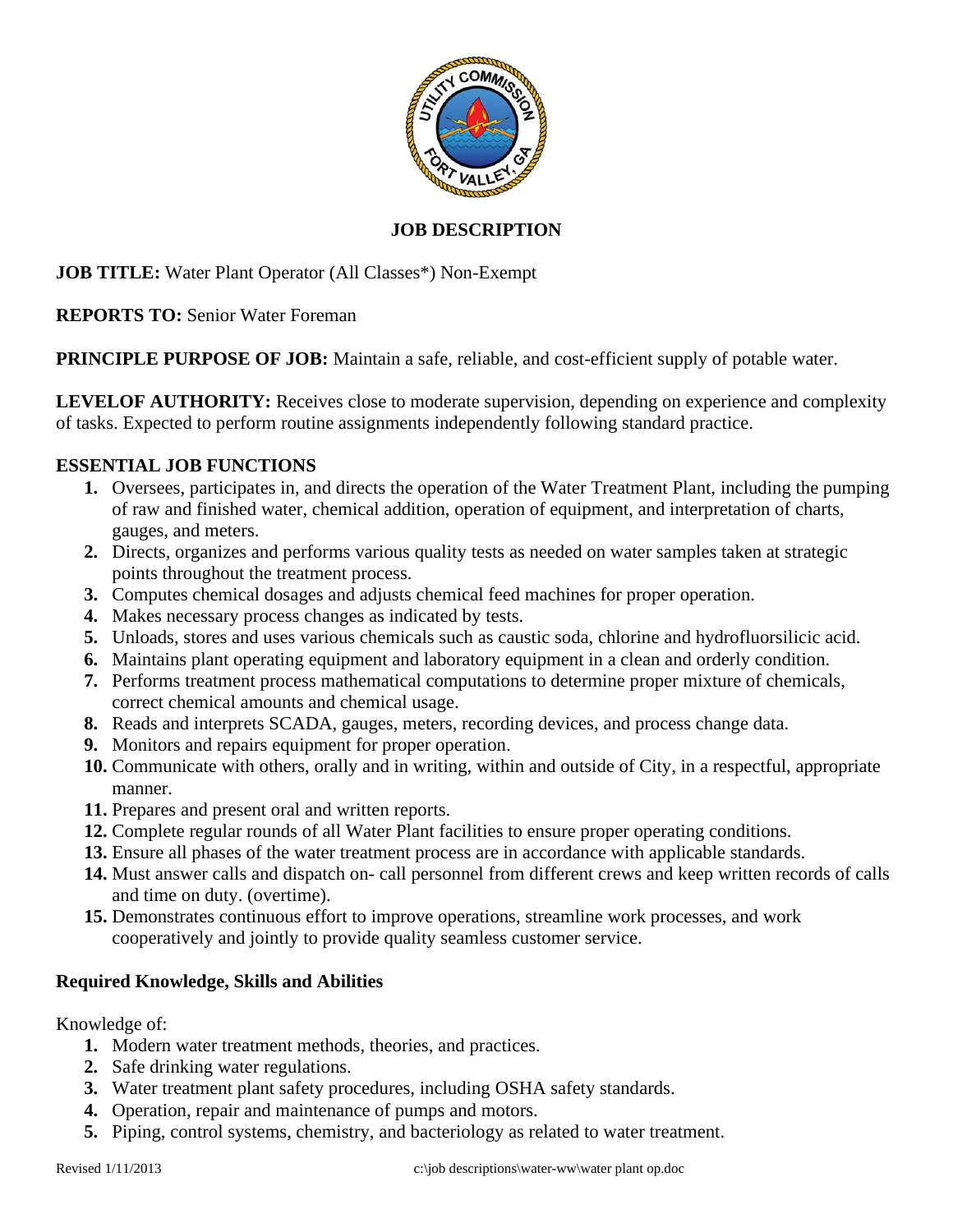

## **JOB DESCRIPTION**

**JOB TITLE:** Water Plant Operator (All Classes\*) Non-Exempt

**REPORTS TO:** Senior Water Foreman

**PRINCIPLE PURPOSE OF JOB:** Maintain a safe, reliable, and cost-efficient supply of potable water.

**LEVELOF AUTHORITY:** Receives close to moderate supervision, depending on experience and complexity of tasks. Expected to perform routine assignments independently following standard practice.

### **ESSENTIAL JOB FUNCTIONS**

- **1.** Oversees, participates in, and directs the operation of the Water Treatment Plant, including the pumping of raw and finished water, chemical addition, operation of equipment, and interpretation of charts, gauges, and meters.
- **2.** Directs, organizes and performs various quality tests as needed on water samples taken at strategic points throughout the treatment process.
- **3.** Computes chemical dosages and adjusts chemical feed machines for proper operation.
- **4.** Makes necessary process changes as indicated by tests.
- **5.** Unloads, stores and uses various chemicals such as caustic soda, chlorine and hydrofluorsilicic acid.
- **6.** Maintains plant operating equipment and laboratory equipment in a clean and orderly condition.
- **7.** Performs treatment process mathematical computations to determine proper mixture of chemicals, correct chemical amounts and chemical usage.
- **8.** Reads and interprets SCADA, gauges, meters, recording devices, and process change data.
- **9.** Monitors and repairs equipment for proper operation.
- **10.** Communicate with others, orally and in writing, within and outside of City, in a respectful, appropriate manner.
- **11.** Prepares and present oral and written reports.
- **12.** Complete regular rounds of all Water Plant facilities to ensure proper operating conditions.
- **13.** Ensure all phases of the water treatment process are in accordance with applicable standards.
- **14.** Must answer calls and dispatch on- call personnel from different crews and keep written records of calls and time on duty. (overtime).
- **15.** Demonstrates continuous effort to improve operations, streamline work processes, and work cooperatively and jointly to provide quality seamless customer service.

# **Required Knowledge, Skills and Abilities**

Knowledge of:

- **1.** Modern water treatment methods, theories, and practices.
- **2.** Safe drinking water regulations.
- **3.** Water treatment plant safety procedures, including OSHA safety standards.
- **4.** Operation, repair and maintenance of pumps and motors.
- **5.** Piping, control systems, chemistry, and bacteriology as related to water treatment.